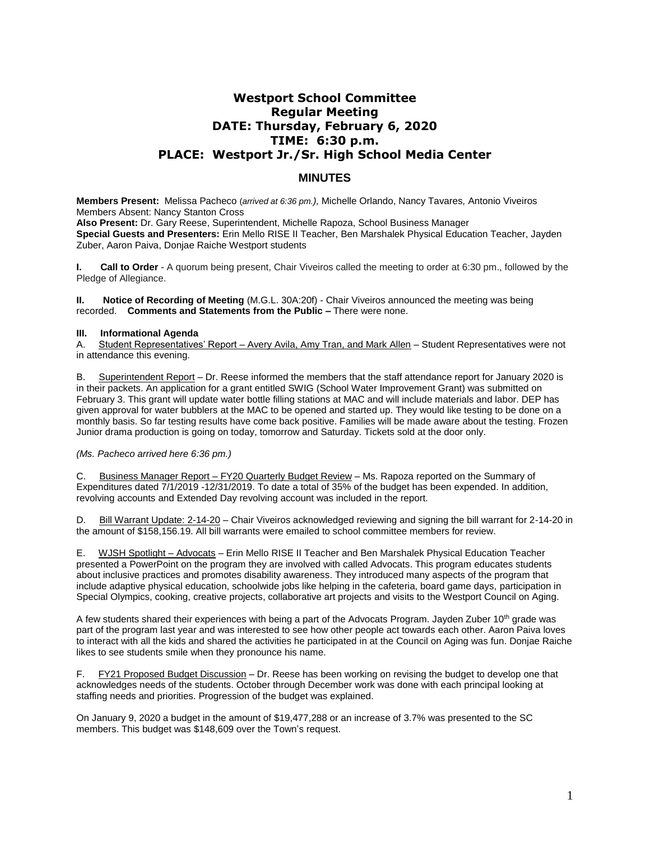# **Westport School Committee Regular Meeting DATE: Thursday, February 6, 2020 TIME: 6:30 p.m. PLACE: Westport Jr./Sr. High School Media Center**

# **MINUTES**

**Members Present:** Melissa Pacheco (*arrived at 6:36 pm.),* Michelle Orlando, Nancy Tavares*,* Antonio Viveiros Members Absent: Nancy Stanton Cross

**Also Present:** Dr. Gary Reese, Superintendent, Michelle Rapoza, School Business Manager **Special Guests and Presenters:** Erin Mello RISE II Teacher, Ben Marshalek Physical Education Teacher, Jayden Zuber, Aaron Paiva, Donjae Raiche Westport students

**I. Call to Order** - A quorum being present, Chair Viveiros called the meeting to order at 6:30 pm., followed by the Pledge of Allegiance.

**II. Notice of Recording of Meeting** (M.G.L. 30A:20f) - Chair Viveiros announced the meeting was being recorded. **Comments and Statements from the Public –** There were none.

# **III. Informational Agenda**

A. Student Representatives' Report – Avery Avila, Amy Tran, and Mark Allen – Student Representatives were not in attendance this evening.

B. Superintendent Report – Dr. Reese informed the members that the staff attendance report for January 2020 is in their packets. An application for a grant entitled SWIG (School Water Improvement Grant) was submitted on February 3. This grant will update water bottle filling stations at MAC and will include materials and labor. DEP has given approval for water bubblers at the MAC to be opened and started up. They would like testing to be done on a monthly basis. So far testing results have come back positive. Families will be made aware about the testing. Frozen Junior drama production is going on today, tomorrow and Saturday. Tickets sold at the door only.

# *(Ms. Pacheco arrived here 6:36 pm.)*

C. Business Manager Report – FY20 Quarterly Budget Review – Ms. Rapoza reported on the Summary of Expenditures dated 7/1/2019 -12/31/2019. To date a total of 35% of the budget has been expended. In addition, revolving accounts and Extended Day revolving account was included in the report.

D. Bill Warrant Update: 2-14-20 – Chair Viveiros acknowledged reviewing and signing the bill warrant for 2-14-20 in the amount of \$158,156.19. All bill warrants were emailed to school committee members for review.

E. WJSH Spotlight – Advocats – Erin Mello RISE II Teacher and Ben Marshalek Physical Education Teacher presented a PowerPoint on the program they are involved with called Advocats. This program educates students about inclusive practices and promotes disability awareness. They introduced many aspects of the program that include adaptive physical education, schoolwide jobs like helping in the cafeteria, board game days, participation in Special Olympics, cooking, creative projects, collaborative art projects and visits to the Westport Council on Aging.

A few students shared their experiences with being a part of the Advocats Program. Jayden Zuber 10<sup>th</sup> grade was part of the program last year and was interested to see how other people act towards each other. Aaron Paiva loves to interact with all the kids and shared the activities he participated in at the Council on Aging was fun. Donjae Raiche likes to see students smile when they pronounce his name.

F. FY21 Proposed Budget Discussion – Dr. Reese has been working on revising the budget to develop one that acknowledges needs of the students. October through December work was done with each principal looking at staffing needs and priorities. Progression of the budget was explained.

On January 9, 2020 a budget in the amount of \$19,477,288 or an increase of 3.7% was presented to the SC members. This budget was \$148,609 over the Town's request.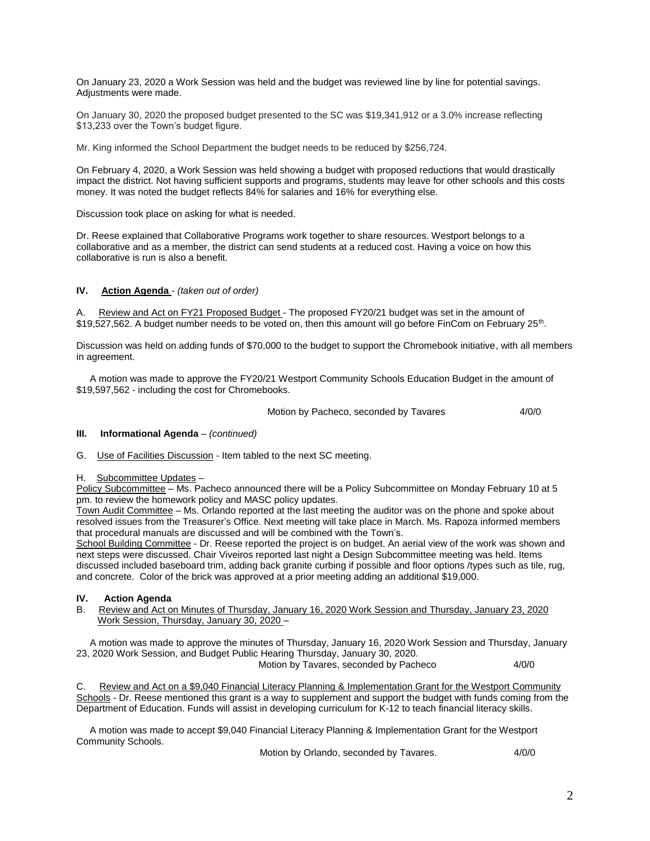On January 23, 2020 a Work Session was held and the budget was reviewed line by line for potential savings. Adjustments were made.

On January 30, 2020 the proposed budget presented to the SC was \$19,341,912 or a 3.0% increase reflecting \$13,233 over the Town's budget figure.

Mr. King informed the School Department the budget needs to be reduced by \$256,724.

On February 4, 2020, a Work Session was held showing a budget with proposed reductions that would drastically impact the district. Not having sufficient supports and programs, students may leave for other schools and this costs money. It was noted the budget reflects 84% for salaries and 16% for everything else.

Discussion took place on asking for what is needed.

Dr. Reese explained that Collaborative Programs work together to share resources. Westport belongs to a collaborative and as a member, the district can send students at a reduced cost. Having a voice on how this collaborative is run is also a benefit.

# **IV. Action Agenda** - *(taken out of order)*

A. Review and Act on FY21 Proposed Budget - The proposed FY20/21 budget was set in the amount of \$19,527,562. A budget number needs to be voted on, then this amount will go before FinCom on February 25<sup>th</sup>.

Discussion was held on adding funds of \$70,000 to the budget to support the Chromebook initiative, with all members in agreement.

 A motion was made to approve the FY20/21 Westport Community Schools Education Budget in the amount of \$19,597,562 - including the cost for Chromebooks.

Motion by Pacheco, seconded by Tavares 4/0/0

#### **III. Informational Agenda** – *(continued)*

G. Use of Facilities Discussion - Item tabled to the next SC meeting.

#### H. Subcommittee Updates –

Policy Subcommittee – Ms. Pacheco announced there will be a Policy Subcommittee on Monday February 10 at 5 pm. to review the homework policy and MASC policy updates.

Town Audit Committee – Ms. Orlando reported at the last meeting the auditor was on the phone and spoke about resolved issues from the Treasurer's Office. Next meeting will take place in March. Ms. Rapoza informed members that procedural manuals are discussed and will be combined with the Town's.

School Building Committee - Dr. Reese reported the project is on budget. An aerial view of the work was shown and next steps were discussed. Chair Viveiros reported last night a Design Subcommittee meeting was held. Items discussed included baseboard trim, adding back granite curbing if possible and floor options /types such as tile, rug, and concrete. Color of the brick was approved at a prior meeting adding an additional \$19,000.

#### **IV. Action Agenda**

B. Review and Act on Minutes of Thursday, January 16, 2020 Work Session and Thursday, January 23, 2020 Work Session, Thursday, January 30, 2020 –

 A motion was made to approve the minutes of Thursday, January 16, 2020 Work Session and Thursday, January 23, 2020 Work Session, and Budget Public Hearing Thursday, January 30, 2020.

Motion by Tavares, seconded by Pacheco 4/0/0

C. Review and Act on a \$9,040 Financial Literacy Planning & Implementation Grant for the Westport Community Schools - Dr. Reese mentioned this grant is a way to supplement and support the budget with funds coming from the Department of Education. Funds will assist in developing curriculum for K-12 to teach financial literacy skills.

 A motion was made to accept \$9,040 Financial Literacy Planning & Implementation Grant for the Westport Community Schools.

Motion by Orlando, seconded by Tavares. 4/0/0